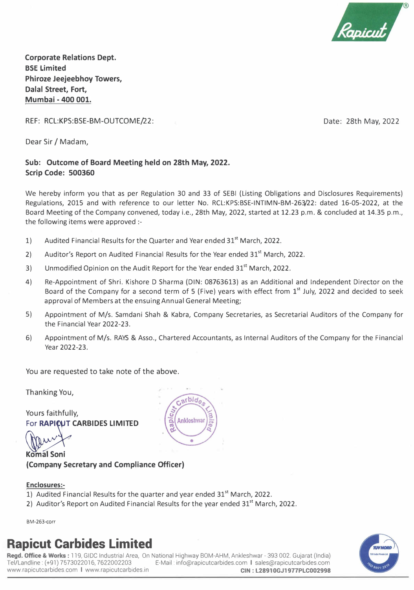

**Corporate Relations Dept. BSE Limited Phiroze Jeejeebhoy Towers, Dalal Street, Fort, Mumbai - 400 001.** 

REF: RCL:KPS:BSE-BM-OUTCOME/22:

Date: 28th May, 2022

Dear Sir/ Madam,

#### **Sub: Outcome of Board Meeting held on 28th May, 2022. Scrip Code: 500360**

We hereby inform you that as per Regulation 30 and 33 of SEBI (Listing Obligations and Disclosures Requirements) Regulations, 2015 and with reference to our letter No. RCL:KPS:BSE-INTIMN-BM-263/22: dated 16-05-2022, at the Board Meeting of the Company convened, today i.e., 28th May, 2022, started at 12.23 p.m. & concluded at 14.35 p.m., the following items were approved :-

- 1) Audited Financial Results for the Quarter and Year ended  $31<sup>st</sup>$  March, 2022.
- 2) Auditor's Report on Audited Financial Results for the Year ended  $31<sup>st</sup>$  March, 2022.
- 3) Unmodified Opinion on the Audit Report for the Year ended  $31<sup>st</sup>$  March, 2022.
- 4) Re-Appointment of Shri. Kishore D Sharma (DIN: 08763613) as an Additional and Independent Director on the Board of the Company for a second term of 5 (Five) years with effect from 1<sup>st</sup> July, 2022 and decided to seek approval of Members at the ensuing Annual General Meeting;
- 5) Appointment of M/s. Samdani Shah & Kabra, Company Secretaries, as Secretarial Auditors of the Company for the Financial Year 2022-23.
- 6) Appointment of M/s. RAYS & Assa., Chartered Accountants, as Internal Auditors of the Company for the Financial Year 2022-23.

You are requested to take note of the above.

Thanking You,

Yours faithfully, **For RAPICUT CARBIDES LIMITED** 

**Komal Soni {Company Secretary and Compliance Officer)** 

#### **Enclosures:-**

- 1) Audited Financial Results for the quarter and year ended  $31<sup>st</sup>$  March, 2022.
- 2) Auditor's Report on Audited Financial Results for the year ended  $31<sup>st</sup>$  March, 2022.

BM-263-corr

### **Rapicut Carbides Limited**

**Regd. Office** & **Works:** 119, GIDC Industrial Area, On National Highway BOM-AHM, Ankleshwar - 393 002. Gujarat (India) E-Mail: info@rapicutcarbides.com I sales@rapicutcarbides.com<br>CIN: L28910GJ1977PLC002998 www.rapicutcarbides.com | www.rapicutcarbides.in



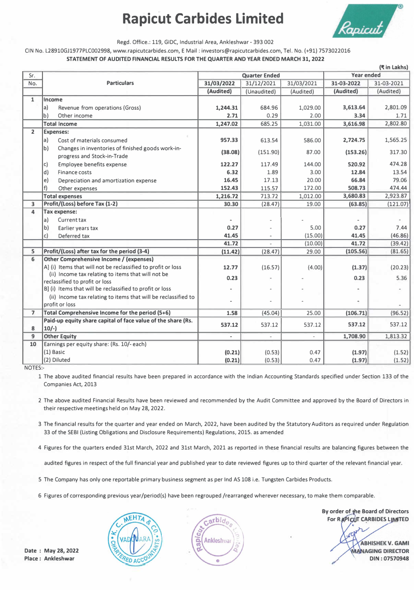## **Rapicut Carbides Limited**



Regd. Office.: 119, GIDC, Industrial Area, Ankleshwar - 393 002

CIN No. L28910GJ1977PLC002998, www.rapicutcarbides.com, E Mail : investors@rapicutcarbides.com, Tel. No. (+91) 7573022016

**STATEMENT OF AUDITED FINANCIAL RESULTS FOR THE QUARTER AND YEAR ENDED MARCH 31, 2022** 

|                         |                                                                        |                                           |                              |            |            | (R in Lakhs) |
|-------------------------|------------------------------------------------------------------------|-------------------------------------------|------------------------------|------------|------------|--------------|
| Sr.                     |                                                                        | <b>Quarter Ended</b><br><b>Year ended</b> |                              |            |            |              |
| No.                     | <b>Particulars</b>                                                     | 31/03/2022                                | 31/12/2021                   | 31/03/2021 | 31-03-2022 | 31-03-2021   |
|                         |                                                                        | (Audited)                                 | (Unaudited)                  | (Audited)  | (Audited)  | (Audited)    |
| $\mathbf{1}$            | Income                                                                 |                                           |                              |            |            |              |
|                         | a)<br>Revenue from operations (Gross)                                  | 1,244.31                                  | 684.96                       | 1,029.00   | 3,613.64   | 2,801.09     |
|                         | b)<br>Other income                                                     | 2.71                                      | 0.29                         | 2.00       | 3.34       | 1.71         |
|                         | <b>Total Income</b>                                                    | 1,247.02                                  | 685.25                       | 1,031.00   | 3,616.98   | 2,802.80     |
| $\overline{2}$          | <b>Expenses:</b>                                                       |                                           |                              |            |            |              |
|                         | Cost of materials consumed<br>la)                                      | 957.33                                    | 613.54                       | 586.00     | 2,724.75   | 1,565.25     |
|                         | b)<br>Changes in inventories of finished goods work-in-                |                                           |                              |            |            |              |
|                         | progress and Stock-in-Trade                                            | (38.08)                                   | (151.90)                     | 87.00      | (153.26)   | 317.30       |
|                         | <b>Employee benefits expense</b><br> c                                 | 122.27                                    | 117.49                       | 144.00     | 520.92     | 474.28       |
|                         | Finance costs<br>$\mathsf{d}$                                          | 6.32                                      | 1.89                         | 3.00       | 12.84      | 13.54        |
|                         | e)<br>Depreciation and amortization expense                            | 16.45                                     | 17.13                        | 20.00      | 66.84      | 79.06        |
|                         | f)<br>Other expenses                                                   | 152.43                                    | 115.57                       | 172.00     | 508.73     | 474.44       |
|                         | <b>Total expenses</b>                                                  | 1,216.72                                  | 713.72                       | 1,012.00   | 3,680.83   | 2,923.87     |
| $\overline{\mathbf{3}}$ | Profit/(Loss) before Tax (1-2)                                         | 30.30                                     | (28.47)                      | 19.00      | (63.85)    | (121.07)     |
| 4                       | <b>Tax expense:</b>                                                    |                                           |                              |            |            |              |
|                         | a <br>Current tax                                                      |                                           |                              |            |            |              |
|                         | b)<br>Earlier years tax                                                | 0.27                                      |                              | 5.00       | 0.27       | 7.44         |
|                         | c)<br>Deferred tax                                                     | 41.45                                     |                              | (15.00)    | 41.45      | (46.86)      |
|                         |                                                                        | 41.72                                     |                              | (10.00)    | 41.72      | (39.42)      |
| 5                       | Profit/(Loss) after tax for the period (3-4)                           | (11.42)                                   | (28.47)                      | 29.00      | (105.56)   | (81.65)      |
| 6                       | <b>Other Comprehensive Income / (expenses)</b>                         |                                           |                              |            |            |              |
|                         | A] (i) Items that will not be reclassified to profit or loss           | 12.77                                     | (16.57)                      | (4.00)     | (1.37)     | (20.23)      |
|                         | (ii) Income tax relating to items that will not be                     | 0.23                                      |                              |            | 0.23       | 5.36         |
|                         | reclassified to profit or loss                                         |                                           |                              |            |            |              |
|                         | B] (i) Items that will be reclassified to profit or loss               |                                           |                              |            |            |              |
|                         | (ii) Income tax relating to items that will be reclassified to         |                                           |                              |            |            |              |
|                         | profit or loss                                                         |                                           |                              |            |            |              |
| $\overline{7}$          | Total Comprehensive Income for the period (5+6)                        | 1.58                                      | (45.04)                      | 25.00      | (106.71)   | (96.52)      |
| 8                       | Paid-up equity share capital of face value of the share (Rs.<br>$10/-$ | 537.12                                    | 537.12                       | 537.12     | 537.12     | 537.12       |
| 9                       | <b>Other Equity</b>                                                    | $\blacksquare$                            | $\qquad \qquad \blacksquare$ |            | 1,708.90   | 1,813.32     |
| 10                      | Earnings per equity share: (Rs. 10/- each)                             |                                           |                              |            |            |              |
|                         | (1) Basic                                                              | (0.21)                                    | (0.53)                       | 0.47       | (1.97)     | (1.52)       |
|                         | (2) Diluted                                                            | (0.21)                                    | (0.53)                       | 0.47       | (1.97)     | (1.52)       |
|                         |                                                                        |                                           |                              |            |            |              |

NOTES:-

1 The above audited financial results have been prepared in accordance with the Indian Accounting Standards specified under Section 133 of the Companies Act, 2013

2 The above audited Financial Results have been reviewed and recommended by the Audit Committee and approved by the Board of Directors in their respective meetings held on May 28, 2022.

3 The financial results for the quarter and year ended on March, 2022, have been audited by the Statutory Auditors as required under Regulation 33 of the SEBI (Listing Obligations and Disclosure Requirements) Regulations, 2015. as amended

4 Figures for the quarters ended 31st March, 2022 and 31st March, 2021 as reported in these financial results are balancing figures between the

audited figures in respect of the full financial year and published year to date reviewed figures up to third quarter of the relevant financial year.

5 The Company has only one reportable primary business segment as per Ind AS 108 i.e. Tungsten Carbides Products.

6 Figures of corresponding previous year/period(s) have been regrouped /rearranged wherever necessary, to make them comparable.





**By order of the Board of Directors For RAPICUT CARBIDES LIMITED** 

> **ABHISHEK V. GAMI MANAGING DIRECTOR DIN : 07570948**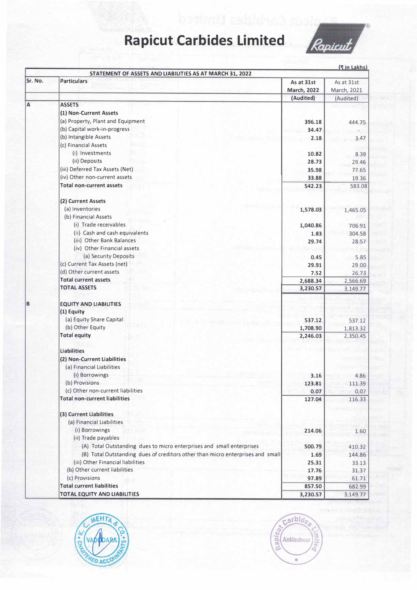# **Rapicut Carbides Limited**



|         | STATEMENT OF ASSETS AND LIABILITIES AS AT MARCH 31, 2022                       |                                  | <u>(₹in Lakhs)</u>        |
|---------|--------------------------------------------------------------------------------|----------------------------------|---------------------------|
| Sr. No. | <b>Particulars</b>                                                             | As at 31st<br><b>March, 2022</b> | As at 31st<br>March, 2021 |
|         |                                                                                | (Audited)                        | (Audited)                 |
| A       | <b>ASSETS</b>                                                                  |                                  |                           |
|         | (1) Non-Current Assets                                                         |                                  |                           |
|         | (a) Property, Plant and Equipment                                              | 396.18                           | 444.75                    |
|         | (b) Capital work-in-progress                                                   | 34.47                            |                           |
|         | (b) Intangible Assets                                                          | 2.18                             | 3.47                      |
|         | (c) Financial Assets                                                           |                                  |                           |
|         | (i) Investments                                                                | 10.82                            | 8.39                      |
|         | (ii) Deposits                                                                  | 28.73                            | 29.46                     |
|         | (iii) Deferred Tax Assets (Net)                                                | 35.98                            | 77.65                     |
|         | (iv) Other non-current assets                                                  | 33.88                            | 19.36                     |
|         | <b>Total non-current assets</b>                                                | 542.23                           | 583.08                    |
|         | (2) Current Assets                                                             |                                  |                           |
|         | (a) Inventories                                                                | 1,578.03                         | 1,465.05                  |
|         | (b) Financial Assets                                                           |                                  |                           |
|         | (i) Trade receivables                                                          | 1,040.86                         | 706.91                    |
|         | (ii) Cash and cash equivalents                                                 | 1.83                             | 304.58                    |
|         | (iii) Other Bank Balances                                                      | 29.74                            | 28.57                     |
|         | (iv) Other Financial assets                                                    |                                  |                           |
|         | (a) Security Deposits                                                          | 0.45                             | 5.85                      |
|         | (c) Current Tax Assets (net)                                                   | 29.91                            | 29.00                     |
|         | (d) Other current assets                                                       | 7.52                             | 26.73                     |
|         | <b>Total current assets</b>                                                    | 2,688.34                         | 2,566.69                  |
|         | <b>TOTAL ASSETS</b>                                                            | 3,230.57                         | 3,149.77                  |
| B       | <b>EQUITY AND LIABILITIES</b>                                                  |                                  |                           |
|         | (1) Equity                                                                     |                                  |                           |
|         | (a) Equity Share Capital                                                       | 537.12                           | 537.12                    |
|         | (b) Other Equity                                                               | 1,708.90                         | 1,813.32                  |
|         | <b>Total equity</b>                                                            | 2,246.03                         | 2,350.45                  |
|         | <b>Liabilities</b>                                                             |                                  |                           |
|         | (2) Non-Current Liabilities                                                    |                                  |                           |
|         | (a) Financial Liabilities                                                      |                                  |                           |
|         | (i) Borrowings                                                                 | 3.16                             | 4.86                      |
|         | (b) Provisions                                                                 | 123.81                           | 111.39                    |
|         | (c) Other non-current liabilities                                              | 0.07                             | 0.07                      |
|         | <b>Total non-current liabilities</b>                                           | 127.04                           | 116.33                    |
|         | (3) Current Liabilities                                                        |                                  |                           |
|         | (a) Financial Liabilities                                                      |                                  |                           |
|         | (i) Borrowings                                                                 | 214.06                           | 1.60                      |
|         | (ii) Trade payables                                                            |                                  |                           |
|         | (A) Total Outstanding dues to micro enterprises and small enterprises          | 500.79                           | 410.32                    |
|         | (B) Total Outstanding dues of creditors other than micro enterprises and small | 1.69                             | 144.86                    |
|         | (iii) Other Financial liabilities                                              | 25.31                            | 33.13                     |
|         | (b) Other current liabilities                                                  | 17.76                            | 31.37                     |
|         | (c) Provisions                                                                 | 97.89                            | 61.71                     |
|         | <b>Total current liabilities</b>                                               | 857.50                           | 682.99                    |
|         | <b>TOTAL EQUITY AND LIABILITIES</b>                                            | 3,230.57                         | 3,149.77                  |



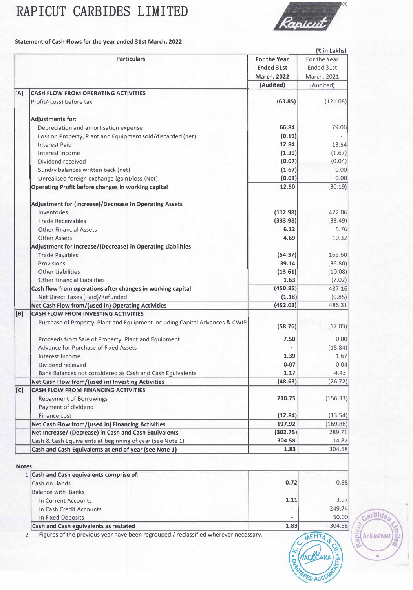# RAPICUT CARBIDES LIMITED



**Statement of Cash Flows for the year ended 31st March, 2022** 

|        |                                                                             |                    | (₹ in Lakhs) |
|--------|-----------------------------------------------------------------------------|--------------------|--------------|
|        | <b>Particulars</b>                                                          | For the Year       | For the Year |
|        |                                                                             | <b>Ended 31st</b>  | Ended 31st   |
|        |                                                                             | <b>March, 2022</b> | March, 2021  |
|        |                                                                             | (Audited)          | (Audited)    |
| [A]    | <b>CASH FLOW FROM OPERATING ACTIVITIES</b>                                  |                    |              |
|        | Profit/(Loss) before tax                                                    | (63.85)            | (121.08)     |
|        |                                                                             |                    |              |
|        | <b>Adjustments for:</b>                                                     |                    |              |
|        | Depreciation and amortisation expense                                       | 66.84              | 79.06        |
|        | Loss on Property, Plant and Equipment sold/discarded (net)                  | (0.19)             |              |
|        | <b>Interest Paid</b>                                                        | 12.84              | 13.54        |
|        | Interest Income                                                             | (1.39)             | (1.67)       |
|        | Dividend received                                                           | (0.07)             | (0.04)       |
|        | Sundry balances written back (net)                                          | (1.67)             | 0.00         |
|        | Unrealised foreign exchange (gain)/loss (Net)                               | (0.03)             | 0.00         |
|        | Operating Profit before changes in working capital                          | 12.50              | (30.19)      |
|        |                                                                             |                    |              |
|        | Adjustment for (Increase)/Decrease in Operating Assets                      |                    |              |
|        | Inventories                                                                 | (112.98)           | 422.06       |
|        | <b>Trade Receivables</b>                                                    | (333.98)           | (33.49)      |
|        | <b>Other Financial Assets</b>                                               | 6.12               | 5.76         |
|        | Other Assets                                                                | 4.69               | 10.32        |
|        | Adjustment for Increase/(Decrease) in Operating Liabilities                 |                    |              |
|        |                                                                             |                    | 166.60       |
|        | <b>Trade Payables</b>                                                       | (54.37)            |              |
|        | Provisions                                                                  | 39.14              | (36.80)      |
|        | <b>Other Liabilities</b>                                                    | (13.61)            | (10.08)      |
|        | <b>Other Financial Liabilities</b>                                          | 1.63               | (7.02)       |
|        | Cash flow from operations after changes in working capital                  | (450.85)           | 487.16       |
|        | Net Direct Taxes (Paid)/Refunded                                            | (1.18)             | (0.85)       |
|        | Net Cash Flow from/(used in) Operating Activities                           | (452.03)           | 486.31       |
| [B]    | <b>CASH FLOW FROM INVESTING ACTIVITIES</b>                                  |                    |              |
|        | Purchase of Property, Plant and Equipment including Capital Advances & CWIP | (58.76)            | (17.03)      |
|        |                                                                             |                    |              |
|        | Proceeds from Sale of Property, Plant and Equipment                         | 7.50               | 0.00         |
|        | Advance for Purchase of Fixed Assets                                        |                    | (15.84)      |
|        | Interest Income                                                             | 1.39               | 1.67         |
|        | Dividend received                                                           | 0.07               | 0.04         |
|        | Bank Balances not considered as Cash and Cash Equivalents                   | 1.17               | 4.43         |
|        | Net Cash Flow from/(used in) Investing Activities                           | (48.63)            | (26.72)      |
| [C]    | <b>CASH FLOW FROM FINANCING ACTIVITIES</b>                                  |                    |              |
|        | <b>Repayment of Borrowings</b>                                              | 210.75             | (156.33)     |
|        | Payment of dividend                                                         |                    |              |
|        | Finance cost                                                                | (12.84)            | (13.54)      |
|        | Net Cash Flow from/(used in) Financing Activities                           | 197.92             | (169.88)     |
|        | Net Increase/ (Decrease) in Cash and Cash Equivalents                       | (302.75)           | 289.71       |
|        | Cash & Cash Equivalents at beginning of year (see Note 1)                   | 304.58             | 14.87        |
|        | Cash and Cash Equivalents at end of year (see Note 1)                       | 1.83               | 304.58       |
|        |                                                                             |                    |              |
| Notes: |                                                                             |                    |              |
|        | 1 Cash and Cash equivalents comprise of:                                    |                    |              |
|        | Cash on Hands                                                               | 0.72               | 0.88         |
|        | <b>Balance with Banks</b>                                                   |                    |              |
|        | In Current Accounts                                                         | 1.11               | 3.97         |
|        | In Cash Credit Accounts                                                     |                    | 249.74       |
|        |                                                                             |                    |              |
|        | In Fixed Deposits                                                           |                    | 50.00        |



Carbide

Carbide<sub>s</sub>

ø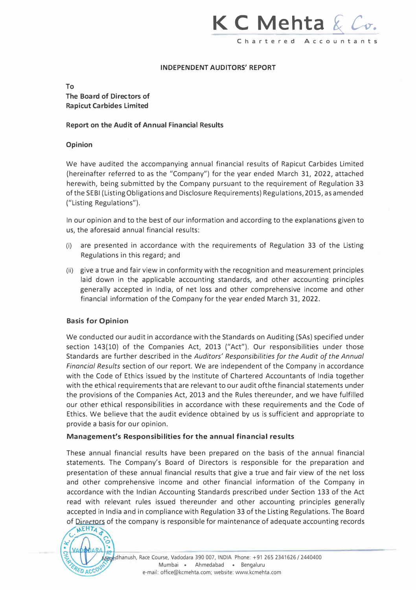### K C Mehta & Co. **Chartered Acc o u nta nts**

#### **INDEPENDENT AUDITORS' REPORT**

#### **To The Board of Directors of Rapicut Carbides Limited**

#### **Report on the Audit of Annual Financial Results**

#### **Opinion**

We have audited the accompanying annual financial results of Rapicut Carbides Limited (hereinafter referred to as the "Company") for the year ended March 31, 2022, attached herewith, being submitted by the Company pursuant to the requirement of Regulation 33 of the SEBI (Listing Obligations and Disclosure Requirements) Regulations, 2015, as amended ("Listing Regulations").

In our opinion and to the best of our information and according to the explanations given to us, the aforesaid annual financial results:

- (i) are presented in accordance with the requirements of Regulation 33 of the Listing Regulations in this regard; and
- (ii) give a true and fair view in conformity with the recognition and measurement principles laid down in the applicable accounting standards, and other accounting principles generally accepted in India, of net loss and other comprehensive income and other financial information of the Company for the year ended March 31, 2022.

#### **Basis for Opinion**

We conducted our audit in accordance with the Standards on Auditing (SAs) specified under section 143(10) of the Companies Act, 2013 ("Act"). Our responsibilities under those Standards are further described in the *Auditors' Responsibilities for the Audit of the Annual Financial Results* section of our report. We are independent of the Company in accordance with the Code of Ethics issued by the Institute of Chartered Accountants of India together with the ethical requirements that are relevant to our audit ofthe financial statements under the provisions of the Companies Act, 2013 and the Rules thereunder, and we have fulfilled our other ethical responsibilities in accordance with these requirements and the Code of Ethics. We believe that the audit evidence obtained by us is sufficient and appropriate to provide a basis for our opinion.

#### **Management's Responsibilities for the annual financial results**

These annual financial results have been prepared on the basis of the annual financial statements. The Company's Board of Directors is responsible for the preparation and presentation of these annual financial results that give a true and fair view of the net loss and other comprehensive income and other financial information of the Company in accordance with the Indian Accounting Standards prescribed under Section 133 of the Act read with relevant rules issued thereunder and other accounting principles generally accepted in India and in compliance with Regulation 33 of the Listing Regulations. The Board of Directors of the company is responsible for maintenance of adequate accounting records

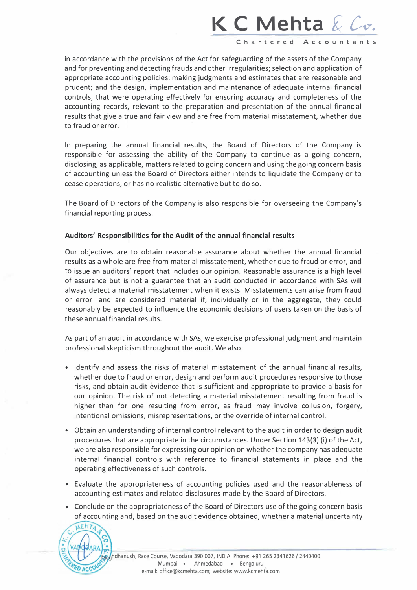## **K C Mehta & Cv.**

**Charte red Acc o u nta nts** 

in accordance with the provisions of the Act for safeguarding of the assets of the Company and for preventing and detecting frauds and other irregularities; selection and application of appropriate accounting policies; making judgments and estimates that are reasonable and prudent; and the design, implementation and maintenance of adequate internal financial controls, that were operating effectively for ensuring accuracy and completeness of the accounting records, relevant to the preparation and presentation of the annual financial results that give a true and fair view and are free from material misstatement, whether due to fraud or error.

In preparing the annual financial results, the Board of Directors of the Company is responsible for assessing the ability of the Company to continue as a going concern, disclosing, as applicable, matters related to going concern and using the going concern basis of accounting unless the Board of Directors either intends to liquidate the Company or to cease operations, or has no realistic alternative but to do so.

The Board of Directors of the Company is also responsible for overseeing the Company's financial reporting process.

#### **Auditors' Responsibilities for the Audit of the annual financial results**

Our objectives are to obtain reasonable assurance about whether the annual financial results as a whole are free from material misstatement, whether due to fraud or error, and to issue an auditors' report that includes our opinion. Reasonable assurance is a high level of assurance but is not a guarantee that an audit conducted in accordance with SAs will always detect a material misstatement when it exists. Misstatements can arise from fraud or error and are considered material if, individually or in the aggregate, they could reasonably be expected to influence the economic decisions of users taken on the basis of these annual financial results.

As part of an audit in accordance with SAs, we exercise professional judgment and maintain professional skepticism throughout the audit. We also:

- Identify and assess the risks of material misstatement of the annual financial results, whether due to fraud or error, design and perform audit procedures responsive to those risks, and obtain audit evidence that is sufficient and appropriate to provide a basis for our opinion. The risk of not detecting a material misstatement resulting from fraud is higher than for one resulting from error, as fraud may involve collusion, forgery, intentional omissions, misrepresentations, or the override of internal control.
- Obtain an understanding of internal control relevant to the audit in order to design audit procedures that are appropriate in the circumstances. Under Section 143(3) (i) of the Act, we are also responsible for expressing our opinion on whether the company has adequate internal financial controls with reference to financial statements in place and the operating effectiveness of such controls.
- Evaluate the appropriateness of accounting policies used and the reasonableness of accounting estimates and related disclosures made by the Board of Directors.
- Conclude on the appropriateness of the Board of Directors use of the going concern basis of accounting and, based on the audit evidence obtained, whether a material uncertainty

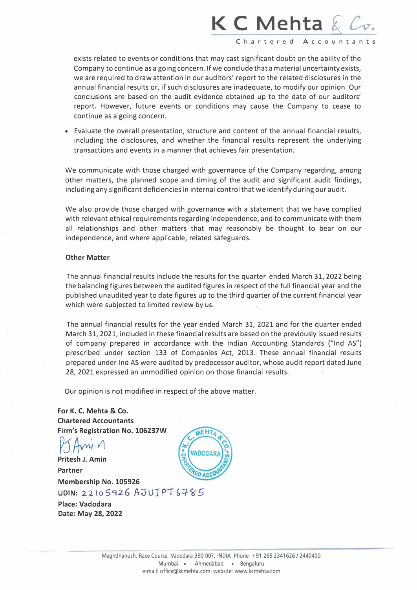## **K C Mehta & Co.**

Charter ed Acc o u nta nts

exists related to events or conditions that may cast significant doubt on the ability of the Company to continue as a going concern. If we conclude that a material uncertainty exists, we are required to draw attention in our auditors' report to the related disclosures in the annual financial results or, if such disclosures are inadequate, to modify our opinion. Our conclusions are based on the audit evidence obtained up to the date of our auditors' report. However, future events or conditions may cause the Company to cease to continue as a going concern.

• Evaluate the overall presentation, structure and content of the annual financial results, including the disclosures, and whether the financial results represent the underlying transactions and events in a manner that achieves fair presentation.

We communicate with those charged with governance of the Company regarding, among other matters, the planned scope and timing of the audit and significant audit findings, including any significant deficiencies in internal control that we identify during our audit.

We also provide those charged with governance with a statement that we have complied with relevant ethical requirements regarding independence, and to communicate with them all relationships and other matters that may reasonably be thought to bear on our independence, and where applicable, related safeguards.

#### **Other Matter**

The annual financial results include the results for the quarter ended March 31, 2022 being the balancing figures between the audited figures in respect of the full financial year and the published unaudited year to date figures up to the third quarter of the current financial year which were subjected to limited review by us.

The annual financial results for the year ended March 31, 2021 and for the quarter ended March 31, 2021, included in these financial results are based on the previously issued results of company prepared in accordance with the Indian Accounting Standards ("Ind AS") prescribed under section 133 of Companies Act, 2013. These annual financial results prepared under Ind AS were audited by predecessor auditor, whose audit report dated June 28, 2021 expressed an unmodified opinion on those financial results.

Our opinion is not modified in respect of the above matter.

**For K. C. Mehta & Co. Chartered Accountants Firm's Registration No. 106237W** 

*V5�', <sup>11</sup>* **Pritesh J. Amin** 

**Partner Membership No. 105926**  UDIN: 22105926 AJUTPT6785

**Place: Vadodara Date: May 28, 2022**